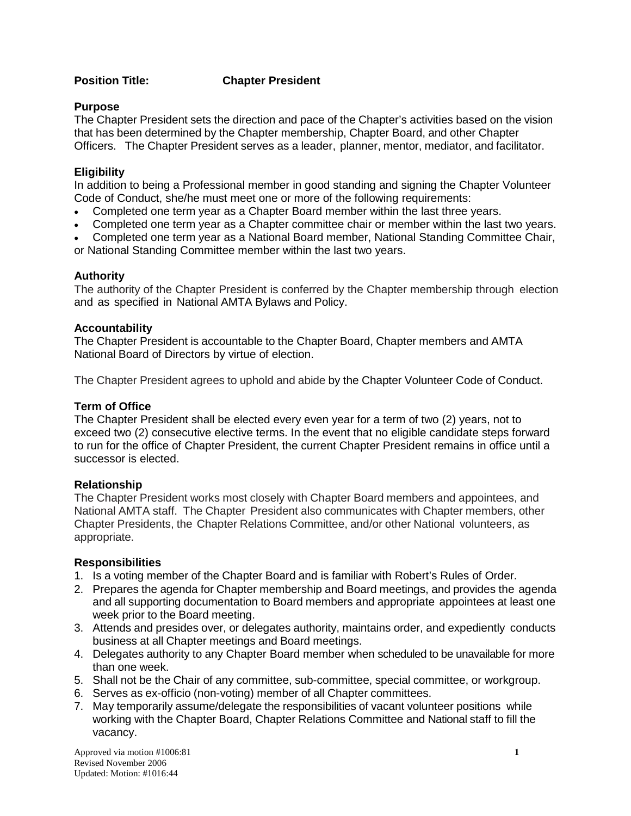#### **Position Title: Chapter President**

#### **Purpose**

The Chapter President sets the direction and pace of the Chapter's activities based on the vision that has been determined by the Chapter membership, Chapter Board, and other Chapter Officers. The Chapter President serves as a leader, planner, mentor, mediator, and facilitator.

#### **Eligibility**

In addition to being a Professional member in good standing and signing the Chapter Volunteer Code of Conduct, she/he must meet one or more of the following requirements:

- Completed one term year as a Chapter Board member within the last three years.
- Completed one term year as a Chapter committee chair or member within the last two years.
- Completed one term year as a National Board member, National Standing Committee Chair,
- or National Standing Committee member within the last two years.

## **Authority**

The authority of the Chapter President is conferred by the Chapter membership through election and as specified in National AMTA Bylaws and Policy.

## **Accountability**

The Chapter President is accountable to the Chapter Board, Chapter members and AMTA National Board of Directors by virtue of election.

The Chapter President agrees to uphold and abide by the Chapter Volunteer Code of Conduct.

## **Term of Office**

The Chapter President shall be elected every even year for a term of two (2) years, not to exceed two (2) consecutive elective terms. In the event that no eligible candidate steps forward to run for the office of Chapter President, the current Chapter President remains in office until a successor is elected.

# **Relationship**

The Chapter President works most closely with Chapter Board members and appointees, and National AMTA staff. The Chapter President also communicates with Chapter members, other Chapter Presidents, the Chapter Relations Committee, and/or other National volunteers, as appropriate.

#### **Responsibilities**

- 1. Is a voting member of the Chapter Board and is familiar with Robert's Rules of Order.
- 2. Prepares the agenda for Chapter membership and Board meetings, and provides the agenda and all supporting documentation to Board members and appropriate appointees at least one week prior to the Board meeting.
- 3. Attends and presides over, or delegates authority, maintains order, and expediently conducts business at all Chapter meetings and Board meetings.
- 4. Delegates authority to any Chapter Board member when scheduled to be unavailable for more than one week.
- 5. Shall not be the Chair of any committee, sub-committee, special committee, or workgroup.
- 6. Serves as ex-officio (non-voting) member of all Chapter committees.
- 7. May temporarily assume/delegate the responsibilities of vacant volunteer positions while working with the Chapter Board, Chapter Relations Committee and National staff to fill the vacancy.